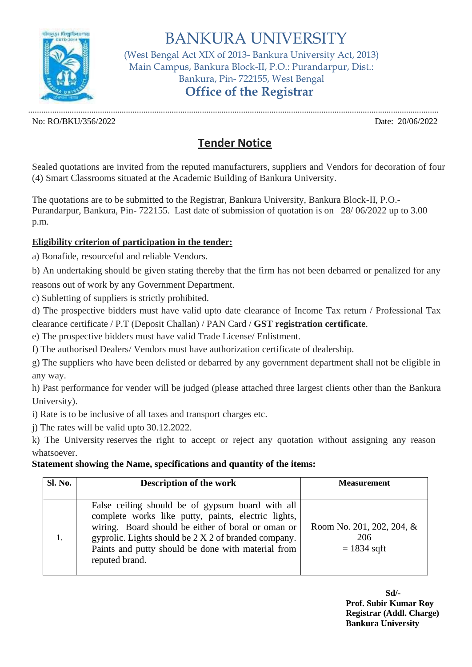

BANKURA UNIVERSITY (West Bengal Act XIX of 2013- Bankura University Act, 2013) Main Campus, Bankura Block-II, P.O.: Purandarpur, Dist.: Bankura, Pin- 722155, West Bengal **Office of the Registrar**

No: RO/BKU/356/2022 Date: 20/06/2022

.............................................................................................................................................................................................

## **Tender Notice**

Sealed quotations are invited from the reputed manufacturers, suppliers and Vendors for decoration of four (4) Smart Classrooms situated at the Academic Building of Bankura University.

The quotations are to be submitted to the Registrar, Bankura University, Bankura Block-II, P.O.- Purandarpur, Bankura, Pin- 722155. Last date of submission of quotation is on 28/ 06/2022 up to 3.00 p.m.

## **Eligibility criterion of participation in the tender:**

a) Bonafide, resourceful and reliable Vendors.

b) An undertaking should be given stating thereby that the firm has not been debarred or penalized for any reasons out of work by any Government Department.

c) Subletting of suppliers is strictly prohibited.

d) The prospective bidders must have valid upto date clearance of Income Tax return / Professional Tax clearance certificate / P.T (Deposit Challan) / PAN Card / **GST registration certificate**.

e) The prospective bidders must have valid Trade License/ Enlistment.

f) The authorised Dealers/ Vendors must have authorization certificate of dealership.

g) The suppliers who have been delisted or debarred by any government department shall not be eligible in any way.

h) Past performance for vender will be judged (please attached three largest clients other than the Bankura University).

i) Rate is to be inclusive of all taxes and transport charges etc.

j) The rates will be valid upto 30.12.2022.

k) The University reserves the right to accept or reject any quotation without assigning any reason whatsoever.

## **Statement showing the Name, specifications and quantity of the items:**

| Sl. No. | <b>Description of the work</b>                                                                                                                                                                                                                                                                | <b>Measurement</b>                                |
|---------|-----------------------------------------------------------------------------------------------------------------------------------------------------------------------------------------------------------------------------------------------------------------------------------------------|---------------------------------------------------|
|         | False ceiling should be of gypsum board with all<br>complete works like putty, paints, electric lights,<br>wiring. Board should be either of boral or oman or<br>gyprolic. Lights should be 2 X 2 of branded company.<br>Paints and putty should be done with material from<br>reputed brand. | Room No. 201, 202, 204, &<br>206<br>$= 1834$ sqft |

**Sd/- Prof. Subir Kumar Roy Registrar (Addl. Charge) Bankura University**